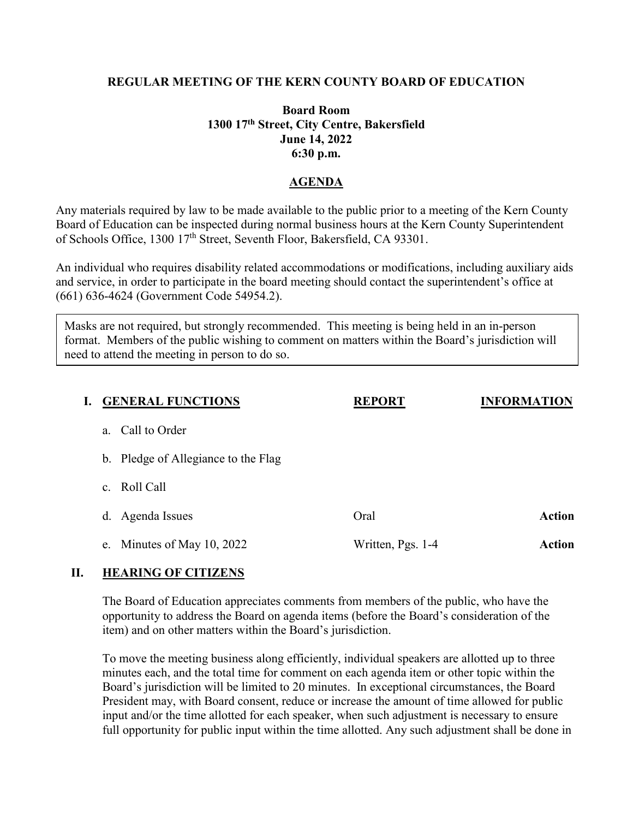# **REGULAR MEETING OF THE KERN COUNTY BOARD OF EDUCATION**

# **Board Room 1300 17th Street, City Centre, Bakersfield June 14, 2022 6:30 p.m.**

# **AGENDA**

Any materials required by law to be made available to the public prior to a meeting of the Kern County Board of Education can be inspected during normal business hours at the Kern County Superintendent of Schools Office, 1300 17<sup>th</sup> Street, Seventh Floor, Bakersfield, CA 93301.

An individual who requires disability related accommodations or modifications, including auxiliary aids and service, in order to participate in the board meeting should contact the superintendent's office at (661) 636-4624 (Government Code 54954.2).

Masks are not required, but strongly recommended. This meeting is being held in an in-person format. Members of the public wishing to comment on matters within the Board's jurisdiction will need to attend the meeting in person to do so.

| I. | <b>GENERAL FUNCTIONS</b>            | <b>REPORT</b>     | <b>INFORMATION</b> |
|----|-------------------------------------|-------------------|--------------------|
|    | Call to Order<br>a.                 |                   |                    |
|    | b. Pledge of Allegiance to the Flag |                   |                    |
|    | c. Roll Call                        |                   |                    |
|    | d. Agenda Issues                    | Oral              | <b>Action</b>      |
|    | e. Minutes of May 10, 2022          | Written, Pgs. 1-4 | <b>Action</b>      |
|    |                                     |                   |                    |

### **II. HEARING OF CITIZENS**

The Board of Education appreciates comments from members of the public, who have the opportunity to address the Board on agenda items (before the Board's consideration of the item) and on other matters within the Board's jurisdiction.

To move the meeting business along efficiently, individual speakers are allotted up to three minutes each, and the total time for comment on each agenda item or other topic within the Board's jurisdiction will be limited to 20 minutes. In exceptional circumstances, the Board President may, with Board consent, reduce or increase the amount of time allowed for public input and/or the time allotted for each speaker, when such adjustment is necessary to ensure full opportunity for public input within the time allotted. Any such adjustment shall be done in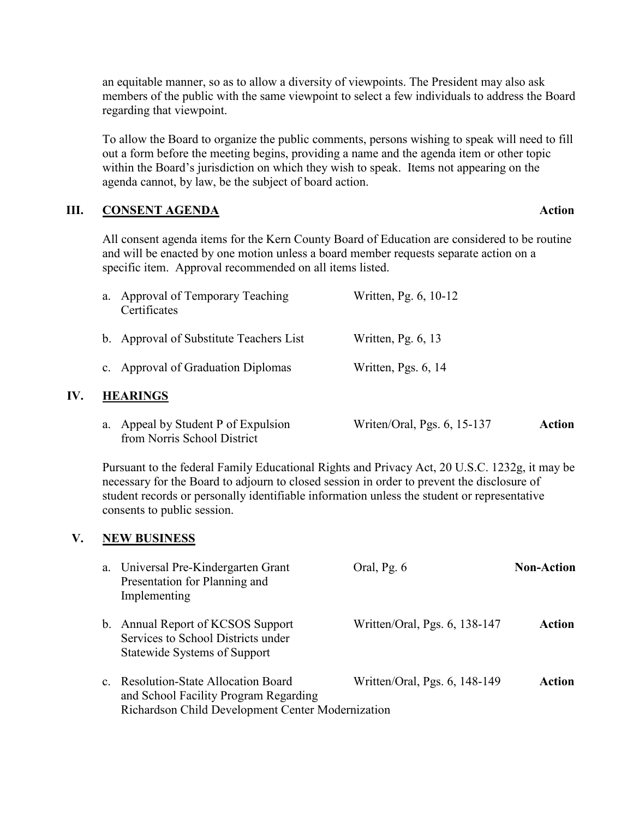an equitable manner, so as to allow a diversity of viewpoints. The President may also ask members of the public with the same viewpoint to select a few individuals to address the Board regarding that viewpoint.

To allow the Board to organize the public comments, persons wishing to speak will need to fill out a form before the meeting begins, providing a name and the agenda item or other topic within the Board's jurisdiction on which they wish to speak. Items not appearing on the agenda cannot, by law, be the subject of board action.

### **III. CONSENT AGENDA Action**

All consent agenda items for the Kern County Board of Education are considered to be routine and will be enacted by one motion unless a board member requests separate action on a specific item. Approval recommended on all items listed.

| a.              | Approval of Temporary Teaching<br>Certificates | Written, Pg. 6, 10-12 |  |  |
|-----------------|------------------------------------------------|-----------------------|--|--|
|                 | b. Approval of Substitute Teachers List        | Written, Pg. $6, 13$  |  |  |
|                 | c. Approval of Graduation Diplomas             | Written, Pgs. 6, 14   |  |  |
| <b>HEARINGS</b> |                                                |                       |  |  |

a. Appeal by Student P of Expulsion Writen/Oral, Pgs. 6, 15-137 **Action** from Norris School District

Pursuant to the federal Family Educational Rights and Privacy Act, 20 U.S.C. 1232g, it may be necessary for the Board to adjourn to closed session in order to prevent the disclosure of student records or personally identifiable information unless the student or representative consents to public session.

### **V. NEW BUSINESS**

**IV.** 

| a. | Universal Pre-Kindergarten Grant<br>Presentation for Planning and<br>Implementing                                                  | Oral, Pg. 6                   | <b>Non-Action</b> |
|----|------------------------------------------------------------------------------------------------------------------------------------|-------------------------------|-------------------|
|    | b. Annual Report of KCSOS Support<br>Services to School Districts under<br><b>Statewide Systems of Support</b>                     | Written/Oral, Pgs. 6, 138-147 | Action            |
|    | c. Resolution-State Allocation Board<br>and School Facility Program Regarding<br>Richardson Child Development Center Modernization | Written/Oral, Pgs. 6, 148-149 | Action            |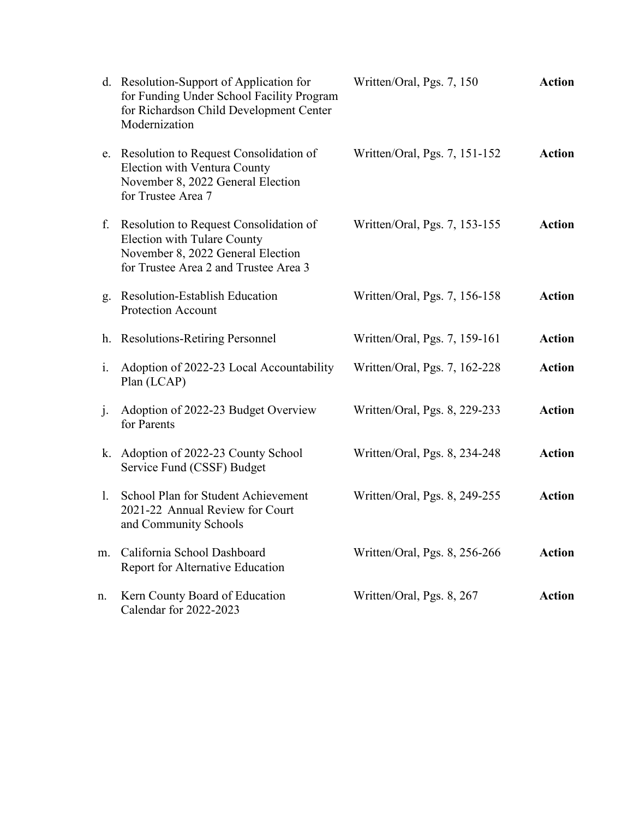|                | d. Resolution-Support of Application for<br>for Funding Under School Facility Program<br>for Richardson Child Development Center<br>Modernization          | Written/Oral, Pgs. 7, 150     | <b>Action</b> |
|----------------|------------------------------------------------------------------------------------------------------------------------------------------------------------|-------------------------------|---------------|
|                | e. Resolution to Request Consolidation of<br>Election with Ventura County<br>November 8, 2022 General Election<br>for Trustee Area 7                       | Written/Oral, Pgs. 7, 151-152 | <b>Action</b> |
| f.             | Resolution to Request Consolidation of<br><b>Election with Tulare County</b><br>November 8, 2022 General Election<br>for Trustee Area 2 and Trustee Area 3 | Written/Oral, Pgs. 7, 153-155 | <b>Action</b> |
|                | g. Resolution-Establish Education<br><b>Protection Account</b>                                                                                             | Written/Oral, Pgs. 7, 156-158 | <b>Action</b> |
|                | h. Resolutions-Retiring Personnel                                                                                                                          | Written/Oral, Pgs. 7, 159-161 | <b>Action</b> |
| $\mathbf{i}$ . | Adoption of 2022-23 Local Accountability<br>Plan (LCAP)                                                                                                    | Written/Oral, Pgs. 7, 162-228 | <b>Action</b> |
| $\cdot$        | Adoption of 2022-23 Budget Overview<br>for Parents                                                                                                         | Written/Oral, Pgs. 8, 229-233 | <b>Action</b> |
| k.             | Adoption of 2022-23 County School<br>Service Fund (CSSF) Budget                                                                                            | Written/Oral, Pgs. 8, 234-248 | <b>Action</b> |
| 1.             | School Plan for Student Achievement<br>2021-22 Annual Review for Court<br>and Community Schools                                                            | Written/Oral, Pgs. 8, 249-255 | <b>Action</b> |
| m.             | California School Dashboard<br>Report for Alternative Education                                                                                            | Written/Oral, Pgs. 8, 256-266 | <b>Action</b> |
| n.             | Kern County Board of Education<br>Calendar for 2022-2023                                                                                                   | Written/Oral, Pgs. 8, 267     | <b>Action</b> |